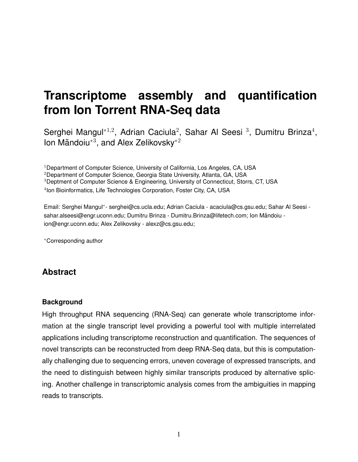# **Transcriptome assembly and quantification from Ion Torrent RNA-Seq data**

Serghei Mangul<sup>\*1,2</sup>, Adrian Caciula<sup>2</sup>, Sahar Al Seesi<sup>3</sup>, Dumitru Brinza<sup>4</sup>, lon Măndoiu<sup>\*3</sup>, and Alex Zelikovsky<sup>\*2</sup>

<sup>1</sup>Department of Computer Science, University of California, Los Angeles, CA, USA

<sup>2</sup>Department of Computer Science, Georgia State University, Atlanta, GA, USA

<sup>3</sup>Deptment of Computer Science & Engineering, University of Connecticut, Storrs, CT, USA

4 Ion Bioinformatics, Life Technologies Corporation, Foster City, CA, USA

Email: Serghei Mangul\*- serghei@cs.ucla.edu; Adrian Caciula - acaciula@cs.gsu.edu; Sahar Al Seesi sahar.alseesi@engr.uconn.edu; Dumitru Brinza - Dumitru.Brinza@lifetech.com; Ion Măndoiu ion@engr.uconn.edu; Alex Zelikovsky - alexz@cs.gsu.edu;

<sup>∗</sup>Corresponding author

# **Abstract**

## **Background**

High throughput RNA sequencing (RNA-Seq) can generate whole transcriptome information at the single transcript level providing a powerful tool with multiple interrelated applications including transcriptome reconstruction and quantification. The sequences of novel transcripts can be reconstructed from deep RNA-Seq data, but this is computationally challenging due to sequencing errors, uneven coverage of expressed transcripts, and the need to distinguish between highly similar transcripts produced by alternative splicing. Another challenge in transcriptomic analysis comes from the ambiguities in mapping reads to transcripts.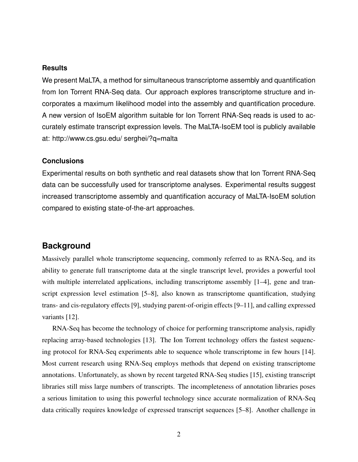### **Results**

We present MaLTA, a method for simultaneous transcriptome assembly and quantification from Ion Torrent RNA-Seq data. Our approach explores transcriptome structure and incorporates a maximum likelihood model into the assembly and quantification procedure. A new version of IsoEM algorithm suitable for Ion Torrent RNA-Seq reads is used to accurately estimate transcript expression levels. The MaLTA-IsoEM tool is publicly available at: http://www.cs.gsu.edu/ serghei/?q=malta

## **Conclusions**

Experimental results on both synthetic and real datasets show that Ion Torrent RNA-Seq data can be successfully used for transcriptome analyses. Experimental results suggest increased transcriptome assembly and quantification accuracy of MaLTA-IsoEM solution compared to existing state-of-the-art approaches.

## **Background**

Massively parallel whole transcriptome sequencing, commonly referred to as RNA-Seq, and its ability to generate full transcriptome data at the single transcript level, provides a powerful tool with multiple interrelated applications, including transcriptome assembly [1–4], gene and transcript expression level estimation [5–8], also known as transcriptome quantification, studying trans- and cis-regulatory effects [9], studying parent-of-origin effects [9–11], and calling expressed variants [12].

RNA-Seq has become the technology of choice for performing transcriptome analysis, rapidly replacing array-based technologies [13]. The Ion Torrent technology offers the fastest sequencing protocol for RNA-Seq experiments able to sequence whole transcriptome in few hours [14]. Most current research using RNA-Seq employs methods that depend on existing transcriptome annotations. Unfortunately, as shown by recent targeted RNA-Seq studies [15], existing transcript libraries still miss large numbers of transcripts. The incompleteness of annotation libraries poses a serious limitation to using this powerful technology since accurate normalization of RNA-Seq data critically requires knowledge of expressed transcript sequences [5–8]. Another challenge in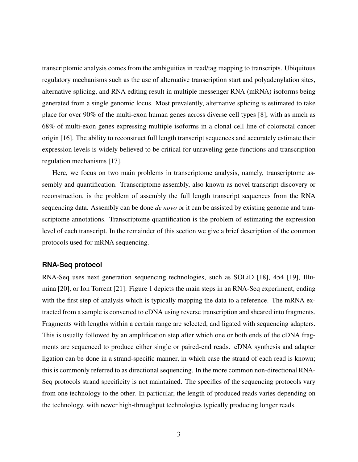transcriptomic analysis comes from the ambiguities in read/tag mapping to transcripts. Ubiquitous regulatory mechanisms such as the use of alternative transcription start and polyadenylation sites, alternative splicing, and RNA editing result in multiple messenger RNA (mRNA) isoforms being generated from a single genomic locus. Most prevalently, alternative splicing is estimated to take place for over 90% of the multi-exon human genes across diverse cell types [8], with as much as 68% of multi-exon genes expressing multiple isoforms in a clonal cell line of colorectal cancer origin [16]. The ability to reconstruct full length transcript sequences and accurately estimate their expression levels is widely believed to be critical for unraveling gene functions and transcription regulation mechanisms [17].

Here, we focus on two main problems in transcriptome analysis, namely, transcriptome assembly and quantification. Transcriptome assembly, also known as novel transcript discovery or reconstruction, is the problem of assembly the full length transcript sequences from the RNA sequencing data. Assembly can be done *de novo* or it can be assisted by existing genome and transcriptome annotations. Transcriptome quantification is the problem of estimating the expression level of each transcript. In the remainder of this section we give a brief description of the common protocols used for mRNA sequencing.

#### **RNA-Seq protocol**

RNA-Seq uses next generation sequencing technologies, such as SOLiD [18], 454 [19], Illumina [20], or Ion Torrent [21]. Figure 1 depicts the main steps in an RNA-Seq experiment, ending with the first step of analysis which is typically mapping the data to a reference. The mRNA extracted from a sample is converted to cDNA using reverse transcription and sheared into fragments. Fragments with lengths within a certain range are selected, and ligated with sequencing adapters. This is usually followed by an amplification step after which one or both ends of the cDNA fragments are sequenced to produce either single or paired-end reads. cDNA synthesis and adapter ligation can be done in a strand-specific manner, in which case the strand of each read is known; this is commonly referred to as directional sequencing. In the more common non-directional RNA-Seq protocols strand specificity is not maintained. The specifics of the sequencing protocols vary from one technology to the other. In particular, the length of produced reads varies depending on the technology, with newer high-throughput technologies typically producing longer reads.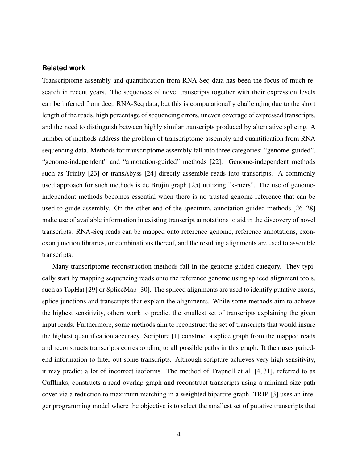#### **Related work**

Transcriptome assembly and quantification from RNA-Seq data has been the focus of much research in recent years. The sequences of novel transcripts together with their expression levels can be inferred from deep RNA-Seq data, but this is computationally challenging due to the short length of the reads, high percentage of sequencing errors, uneven coverage of expressed transcripts, and the need to distinguish between highly similar transcripts produced by alternative splicing. A number of methods address the problem of transcriptome assembly and quantification from RNA sequencing data. Methods for transcriptome assembly fall into three categories: "genome-guided", "genome-independent" and "annotation-guided" methods [22]. Genome-independent methods such as Trinity [23] or transAbyss [24] directly assemble reads into transcripts. A commonly used approach for such methods is de Brujin graph [25] utilizing "k-mers". The use of genomeindependent methods becomes essential when there is no trusted genome reference that can be used to guide assembly. On the other end of the spectrum, annotation guided methods [26–28] make use of available information in existing transcript annotations to aid in the discovery of novel transcripts. RNA-Seq reads can be mapped onto reference genome, reference annotations, exonexon junction libraries, or combinations thereof, and the resulting alignments are used to assemble transcripts.

Many transcriptome reconstruction methods fall in the genome-guided category. They typically start by mapping sequencing reads onto the reference genome,using spliced alignment tools, such as TopHat [29] or SpliceMap [30]. The spliced alignments are used to identify putative exons, splice junctions and transcripts that explain the alignments. While some methods aim to achieve the highest sensitivity, others work to predict the smallest set of transcripts explaining the given input reads. Furthermore, some methods aim to reconstruct the set of transcripts that would insure the highest quantification accuracy. Scripture [1] construct a splice graph from the mapped reads and reconstructs transcripts corresponding to all possible paths in this graph. It then uses pairedend information to filter out some transcripts. Although scripture achieves very high sensitivity, it may predict a lot of incorrect isoforms. The method of Trapnell et al. [4, 31], referred to as Cufflinks, constructs a read overlap graph and reconstruct transcripts using a minimal size path cover via a reduction to maximum matching in a weighted bipartite graph. TRIP [3] uses an integer programming model where the objective is to select the smallest set of putative transcripts that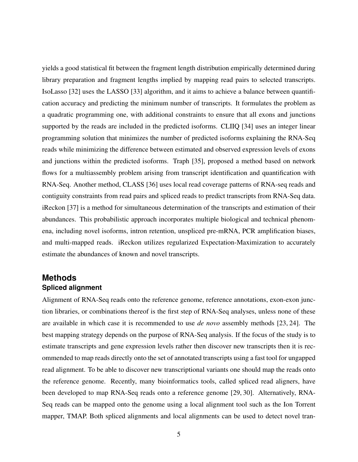yields a good statistical fit between the fragment length distribution empirically determined during library preparation and fragment lengths implied by mapping read pairs to selected transcripts. IsoLasso [32] uses the LASSO [33] algorithm, and it aims to achieve a balance between quantification accuracy and predicting the minimum number of transcripts. It formulates the problem as a quadratic programming one, with additional constraints to ensure that all exons and junctions supported by the reads are included in the predicted isoforms. CLIIQ [34] uses an integer linear programming solution that minimizes the number of predicted isoforms explaining the RNA-Seq reads while minimizing the difference between estimated and observed expression levels of exons and junctions within the predicted isoforms. Traph [35], proposed a method based on network flows for a multiassembly problem arising from transcript identification and quantification with RNA-Seq. Another method, CLASS [36] uses local read coverage patterns of RNA-seq reads and contiguity constraints from read pairs and spliced reads to predict transcripts from RNA-Seq data. iReckon [37] is a method for simultaneous determination of the transcripts and estimation of their abundances. This probabilistic approach incorporates multiple biological and technical phenomena, including novel isoforms, intron retention, unspliced pre-mRNA, PCR amplification biases, and multi-mapped reads. iReckon utilizes regularized Expectation-Maximization to accurately estimate the abundances of known and novel transcripts.

# **Methods Spliced alignment**

Alignment of RNA-Seq reads onto the reference genome, reference annotations, exon-exon junction libraries, or combinations thereof is the first step of RNA-Seq analyses, unless none of these are available in which case it is recommended to use *de novo* assembly methods [23, 24]. The best mapping strategy depends on the purpose of RNA-Seq analysis. If the focus of the study is to estimate transcripts and gene expression levels rather then discover new transcripts then it is recommended to map reads directly onto the set of annotated transcripts using a fast tool for ungapped read alignment. To be able to discover new transcriptional variants one should map the reads onto the reference genome. Recently, many bioinformatics tools, called spliced read aligners, have been developed to map RNA-Seq reads onto a reference genome [29, 30]. Alternatively, RNA-Seq reads can be mapped onto the genome using a local alignment tool such as the Ion Torrent mapper, TMAP. Both spliced alignments and local alignments can be used to detect novel tran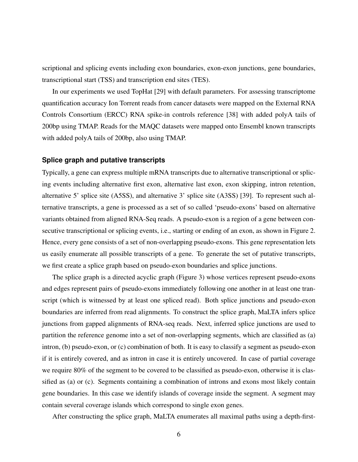scriptional and splicing events including exon boundaries, exon-exon junctions, gene boundaries, transcriptional start (TSS) and transcription end sites (TES).

In our experiments we used TopHat [29] with default parameters. For assessing transcriptome quantification accuracy Ion Torrent reads from cancer datasets were mapped on the External RNA Controls Consortium (ERCC) RNA spike-in controls reference [38] with added polyA tails of 200bp using TMAP. Reads for the MAQC datasets were mapped onto Ensembl known transcripts with added polyA tails of 200bp, also using TMAP.

#### **Splice graph and putative transcripts**

Typically, a gene can express multiple mRNA transcripts due to alternative transcriptional or splicing events including alternative first exon, alternative last exon, exon skipping, intron retention, alternative 5' splice site (A5SS), and alternative 3' splice site (A3SS) [39]. To represent such alternative transcripts, a gene is processed as a set of so called 'pseudo-exons' based on alternative variants obtained from aligned RNA-Seq reads. A pseudo-exon is a region of a gene between consecutive transcriptional or splicing events, i.e., starting or ending of an exon, as shown in Figure 2. Hence, every gene consists of a set of non-overlapping pseudo-exons. This gene representation lets us easily enumerate all possible transcripts of a gene. To generate the set of putative transcripts, we first create a splice graph based on pseudo-exon boundaries and splice junctions.

The splice graph is a directed acyclic graph (Figure 3) whose vertices represent pseudo-exons and edges represent pairs of pseudo-exons immediately following one another in at least one transcript (which is witnessed by at least one spliced read). Both splice junctions and pseudo-exon boundaries are inferred from read alignments. To construct the splice graph, MaLTA infers splice junctions from gapped alignments of RNA-seq reads. Next, inferred splice junctions are used to partition the reference genome into a set of non-overlapping segments, which are classified as (a) intron, (b) pseudo-exon, or (c) combination of both. It is easy to classify a segment as pseudo-exon if it is entirely covered, and as intron in case it is entirely uncovered. In case of partial coverage we require 80% of the segment to be covered to be classified as pseudo-exon, otherwise it is classified as (a) or (c). Segments containing a combination of introns and exons most likely contain gene boundaries. In this case we identify islands of coverage inside the segment. A segment may contain several coverage islands which correspond to single exon genes.

After constructing the splice graph, MaLTA enumerates all maximal paths using a depth-first-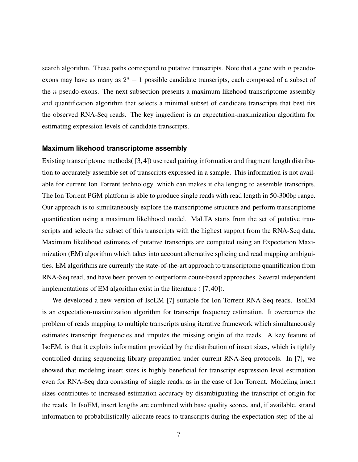search algorithm. These paths correspond to putative transcripts. Note that a gene with  $n$  pseudoexons may have as many as  $2<sup>n</sup> - 1$  possible candidate transcripts, each composed of a subset of the  $n$  pseudo-exons. The next subsection presents a maximum likehood transcriptome assembly and quantification algorithm that selects a minimal subset of candidate transcripts that best fits the observed RNA-Seq reads. The key ingredient is an expectation-maximization algorithm for estimating expression levels of candidate transcripts.

#### **Maximum likehood transcriptome assembly**

Existing transcriptome methods( [3, 4]) use read pairing information and fragment length distribution to accurately assemble set of transcripts expressed in a sample. This information is not available for current Ion Torrent technology, which can makes it challenging to assemble transcripts. The Ion Torrent PGM platform is able to produce single reads with read length in 50-300bp range. Our approach is to simultaneously explore the transcriptome structure and perform transcriptome quantification using a maximum likelihood model. MaLTA starts from the set of putative transcripts and selects the subset of this transcripts with the highest support from the RNA-Seq data. Maximum likelihood estimates of putative transcripts are computed using an Expectation Maximization (EM) algorithm which takes into account alternative splicing and read mapping ambiguities. EM algorithms are currently the state-of-the-art approach to transcriptome quantification from RNA-Seq read, and have been proven to outperform count-based approaches. Several independent implementations of EM algorithm exist in the literature ( [7, 40]).

We developed a new version of IsoEM [7] suitable for Ion Torrent RNA-Seq reads. IsoEM is an expectation-maximization algorithm for transcript frequency estimation. It overcomes the problem of reads mapping to multiple transcripts using iterative framework which simultaneously estimates transcript frequencies and imputes the missing origin of the reads. A key feature of IsoEM, is that it exploits information provided by the distribution of insert sizes, which is tightly controlled during sequencing library preparation under current RNA-Seq protocols. In [7], we showed that modeling insert sizes is highly beneficial for transcript expression level estimation even for RNA-Seq data consisting of single reads, as in the case of Ion Torrent. Modeling insert sizes contributes to increased estimation accuracy by disambiguating the transcript of origin for the reads. In IsoEM, insert lengths are combined with base quality scores, and, if available, strand information to probabilistically allocate reads to transcripts during the expectation step of the al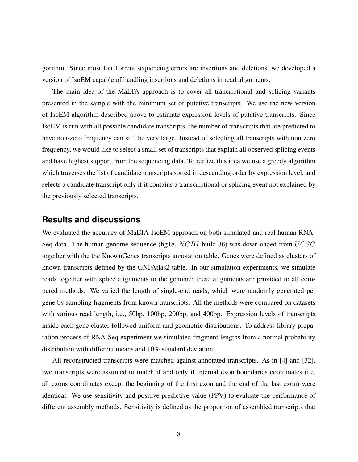gorithm. Since most Ion Torrent sequencing errors are insertions and deletions, we developed a version of IsoEM capable of handling insertions and deletions in read alignments.

The main idea of the MaLTA approach is to cover all trancriptional and splicing variants presented in the sample with the minimum set of putative transcripts. We use the new version of IsoEM algorithm described above to estimate expression levels of putative transcripts. Since IsoEM is run with all possible candidate transcripts, the number of transcripts that are predicted to have non-zero frequency can still be very large. Instead of selecting all transcripts with non zero frequency, we would like to select a small set of transcripts that explain all observed splicing events and have highest support from the sequencing data. To realize this idea we use a greedy algorithm which traverses the list of candidate transcripts sorted in descending order by expression level, and selects a candidate transcript only if it contains a transcriptional or splicing event not explained by the previously selected transcripts.

## **Results and discussions**

We evaluated the accuracy of MaLTA-IsoEM approach on both simulated and real human RNA-Seq data. The human genome sequence (hg18, NCBI build 36) was downloaded from UCSC together with the the KnownGenes transcripts annotation table. Genes were defined as clusters of known transcripts defined by the GNFAtlas2 table. In our simulation experiments, we simulate reads together with splice alignments to the genome; these alignments are provided to all compared methods. We varied the length of single-end reads, which were randomly generated per gene by sampling fragments from known transcripts. All the methods were compared on datasets with various read length, i.e., 50bp, 100bp, 200bp, and 400bp. Expression levels of transcripts inside each gene cluster followed uniform and geometric distributions. To address library preparation process of RNA-Seq experiment we simulated fragment lengths from a normal probability distribution with different means and 10% standard deviation.

All reconstructed transcripts were matched against annotated transcripts. As in [4] and [32], two transcripts were assumed to match if and only if internal exon boundaries coordinates (i.e. all exons coordinates except the beginning of the first exon and the end of the last exon) were identical. We use sensitivity and positive predictive value (PPV) to evaluate the performance of different assembly methods. Sensitivity is defined as the proportion of assembled transcripts that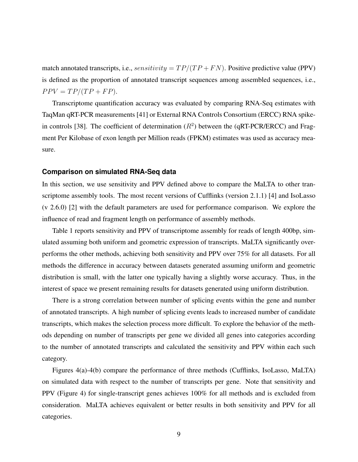match annotated transcripts, i.e.,  $sensitivity = TP/(TP + FN)$ . Positive predictive value (PPV) is defined as the proportion of annotated transcript sequences among assembled sequences, i.e.,  $PPV = TP/(TP + FP).$ 

Transcriptome quantification accuracy was evaluated by comparing RNA-Seq estimates with TaqMan qRT-PCR measurements [41] or External RNA Controls Consortium (ERCC) RNA spikein controls [38]. The coefficient of determination  $(R^2)$  between the (qRT-PCR/ERCC) and Fragment Per Kilobase of exon length per Million reads (FPKM) estimates was used as accuracy measure.

#### **Comparison on simulated RNA-Seq data**

In this section, we use sensitivity and PPV defined above to compare the MaLTA to other transcriptome assembly tools. The most recent versions of Cufflinks (version 2.1.1) [4] and IsoLasso (v 2.6.0) [2] with the default parameters are used for performance comparison. We explore the influence of read and fragment length on performance of assembly methods.

Table 1 reports sensitivity and PPV of transcriptome assembly for reads of length 400bp, simulated assuming both uniform and geometric expression of transcripts. MaLTA significantly overperforms the other methods, achieving both sensitivity and PPV over 75% for all datasets. For all methods the difference in accuracy between datasets generated assuming uniform and geometric distribution is small, with the latter one typically having a slightly worse accuracy. Thus, in the interest of space we present remaining results for datasets generated using uniform distribution.

There is a strong correlation between number of splicing events within the gene and number of annotated transcripts. A high number of splicing events leads to increased number of candidate transcripts, which makes the selection process more difficult. To explore the behavior of the methods depending on number of transcripts per gene we divided all genes into categories according to the number of annotated transcripts and calculated the sensitivity and PPV within each such category.

Figures 4(a)-4(b) compare the performance of three methods (Cufflinks, IsoLasso, MaLTA) on simulated data with respect to the number of transcripts per gene. Note that sensitivity and PPV (Figure 4) for single-transcript genes achieves 100% for all methods and is excluded from consideration. MaLTA achieves equivalent or better results in both sensitivity and PPV for all categories.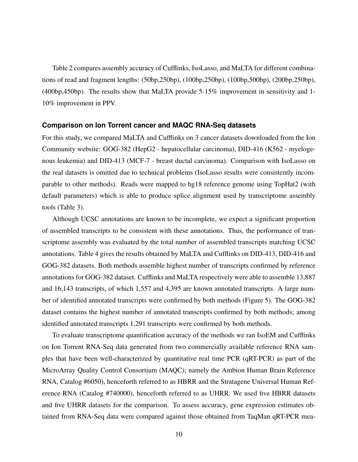Table 2 compares assembly accuracy of Cufflinks, IsoLasso, and MaLTA for different combinations of read and fragment lengths: (50bp,250bp), (100bp,250bp), (100bp,500bp), (200bp,250bp), (400bp,450bp). The results show that MaLTA provide 5-15% improvement in sensitivity and 1- 10% improvement in PPV.

## **Comparison on Ion Torrent cancer and MAQC RNA-Seq datasets**

For this study, we compared MaLTA and Cufflinks on 3 cancer datasets downloaded from the Ion Community website: GOG-382 (HepG2 - hepatocellular carcinoma), DID-416 (K562 - myelogenous leukemia) and DID-413 (MCF-7 - breast ductal carcinoma). Comparison with IsoLasso on the real datasets is omitted due to technical problems (IsoLasso results were consistently incomparable to other methods). Reads were mapped to hg18 reference genome using TopHat2 (with default parameters) which is able to produce splice alignment used by transcriptome assembly tools (Table 3).

Although UCSC annotations are known to be incomplete, we expect a significant proportion of assembled transcripts to be consistent with these annotations. Thus, the performance of transcriptome assembly was evaluated by the total number of assembled transcripts matching UCSC annotations. Table 4 gives the results obtained by MaLTA and Cufflinks on DID-413, DID-416 and GOG-382 datasets. Both methods assemble highest number of transcripts confirmed by reference annotations for GOG-382 dataset. Cufflinks and MaLTA respectively were able to assemble 13,887 and 16,143 transcripts, of which 1,557 and 4,395 are known annotated transcripts. A large number of identified annotated transcripts were confirmed by both methods (Figure 5). The GOG-382 dataset contains the highest number of annotated transcripts confirmed by both methods; among identified annotated transcripts 1,291 transcripts were confirmed by both methods.

To evaluate transcriptome quantification accuracy of the methods we ran IsoEM and Cufflinks on Ion Torrent RNA-Seq data generated from two commercially available reference RNA samples that have been well-characterized by quantitative real time PCR (qRT-PCR) as part of the MicroArray Quality Control Consortium (MAQC); namely the Ambion Human Brain Reference RNA, Catalog #6050), henceforth referred to as HBRR and the Stratagene Universal Human Reference RNA (Catalog #740000), henceforth referred to as UHRR. We used five HBRR datasets and five UHRR datasets for the comparison. To assess accuracy, gene expression estimates obtained from RNA-Seq data were compared against those obtained from TaqMan qRT-PCR mea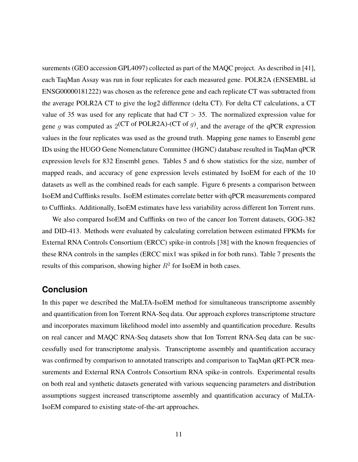surements (GEO accession GPL4097) collected as part of the MAQC project. As described in [41], each TaqMan Assay was run in four replicates for each measured gene. POLR2A (ENSEMBL id ENSG00000181222) was chosen as the reference gene and each replicate CT was subtracted from the average POLR2A CT to give the log2 difference (delta CT). For delta CT calculations, a CT value of 35 was used for any replicate that had  $CT > 35$ . The normalized expression value for gene g was computed as  $2$ <sup>(CT</sup> of POLR2A)-(CT of g), and the average of the qPCR expression values in the four replicates was used as the ground truth. Mapping gene names to Ensembl gene IDs using the HUGO Gene Nomenclature Committee (HGNC) database resulted in TaqMan qPCR expression levels for 832 Ensembl genes. Tables 5 and 6 show statistics for the size, number of mapped reads, and accuracy of gene expression levels estimated by IsoEM for each of the 10 datasets as well as the combined reads for each sample. Figure 6 presents a comparison between IsoEM and Cufflinks results. IsoEM estimates correlate better with qPCR measurements compared to Cufflinks. Additionally, IsoEM estimates have less variability across different Ion Torrent runs.

We also compared IsoEM and Cufflinks on two of the cancer Ion Torrent datasets, GOG-382 and DID-413. Methods were evaluated by calculating correlation between estimated FPKMs for External RNA Controls Consortium (ERCC) spike-in controls [38] with the known frequencies of these RNA controls in the samples (ERCC mix1 was spiked in for both runs). Table 7 presents the results of this comparison, showing higher  $R^2$  for IsoEM in both cases.

## **Conclusion**

In this paper we described the MaLTA-IsoEM method for simultaneous transcriptome assembly and quantification from Ion Torrent RNA-Seq data. Our approach explores transcriptome structure and incorporates maximum likelihood model into assembly and quantification procedure. Results on real cancer and MAQC RNA-Seq datasets show that Ion Torrent RNA-Seq data can be successfully used for transcriptome analysis. Transcriptome assembly and quantification accuracy was confirmed by comparison to annotated transcripts and comparison to TaqMan qRT-PCR measurements and External RNA Controls Consortium RNA spike-in controls. Experimental results on both real and synthetic datasets generated with various sequencing parameters and distribution assumptions suggest increased transcriptome assembly and quantification accuracy of MaLTA-IsoEM compared to existing state-of-the-art approaches.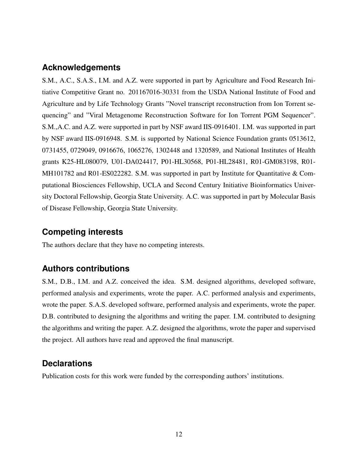# **Acknowledgements**

S.M., A.C., S.A.S., I.M. and A.Z. were supported in part by Agriculture and Food Research Initiative Competitive Grant no. 201167016-30331 from the USDA National Institute of Food and Agriculture and by Life Technology Grants "Novel transcript reconstruction from Ion Torrent sequencing" and "Viral Metagenome Reconstruction Software for Ion Torrent PGM Sequencer". S.M.,A.C. and A.Z. were supported in part by NSF award IIS-0916401. I.M. was supported in part by NSF award IIS-0916948. S.M. is supported by National Science Foundation grants 0513612, 0731455, 0729049, 0916676, 1065276, 1302448 and 1320589, and National Institutes of Health grants K25-HL080079, U01-DA024417, P01-HL30568, P01-HL28481, R01-GM083198, R01- MH101782 and R01-ES022282. S.M. was supported in part by Institute for Quantitative & Computational Biosciences Fellowship, UCLA and Second Century Initiative Bioinformatics University Doctoral Fellowship, Georgia State University. A.C. was supported in part by Molecular Basis of Disease Fellowship, Georgia State University.

# **Competing interests**

The authors declare that they have no competing interests.

# **Authors contributions**

S.M., D.B., I.M. and A.Z. conceived the idea. S.M. designed algorithms, developed software, performed analysis and experiments, wrote the paper. A.C. performed analysis and experiments, wrote the paper. S.A.S. developed software, performed analysis and experiments, wrote the paper. D.B. contributed to designing the algorithms and writing the paper. I.M. contributed to designing the algorithms and writing the paper. A.Z. designed the algorithms, wrote the paper and supervised the project. All authors have read and approved the final manuscript.

# **Declarations**

Publication costs for this work were funded by the corresponding authors' institutions.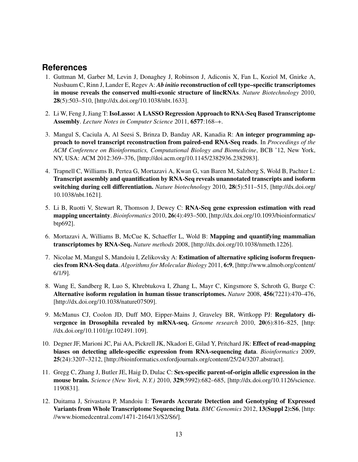## **References**

- 1. Guttman M, Garber M, Levin J, Donaghey J, Robinson J, Adiconis X, Fan L, Koziol M, Gnirke A, Nusbaum C, Rinn J, Lander E, Regev A: *Ab initio* reconstruction of cell type–specific transcriptomes in mouse reveals the conserved multi-exonic structure of lincRNAs. *Nature Biotechnology* 2010, 28(5):503–510, [http://dx.doi.org/10.1038/nbt.1633].
- 2. Li W, Feng J, Jiang T: IsoLasso: A LASSO Regression Approach to RNA-Seq Based Transcriptome Assembly. *Lecture Notes in Computer Science* 2011, 6577:168–+.
- 3. Mangul S, Caciula A, Al Seesi S, Brinza D, Banday AR, Kanadia R: An integer programming approach to novel transcript reconstruction from paired-end RNA-Seq reads. In *Proceedings of the ACM Conference on Bioinformatics, Computational Biology and Biomedicine*, BCB '12, New York, NY, USA: ACM 2012:369–376, [http://doi.acm.org/10.1145/2382936.2382983].
- 4. Trapnell C, Williams B, Pertea G, Mortazavi A, Kwan G, van Baren M, Salzberg S, Wold B, Pachter L: Transcript assembly and quantification by RNA-Seq reveals unannotated transcripts and isoform switching during cell differentiation. *Nature biotechnology* 2010, 28(5):511–515, [http://dx.doi.org/ 10.1038/nbt.1621].
- 5. Li B, Ruotti V, Stewart R, Thomson J, Dewey C: RNA-Seq gene expression estimation with read mapping uncertainty. *Bioinformatics* 2010, 26(4):493–500, [http://dx.doi.org/10.1093/bioinformatics/ btp692].
- 6. Mortazavi A, Williams B, McCue K, Schaeffer L, Wold B: Mapping and quantifying mammalian transcriptomes by RNA-Seq. *Nature methods* 2008, [http://dx.doi.org/10.1038/nmeth.1226].
- 7. Nicolae M, Mangul S, Mandoiu I, Zelikovsky A: Estimation of alternative splicing isoform frequencies from RNA-Seq data. *Algorithms for Molecular Biology* 2011, 6:9, [http://www.almob.org/content/ 6/1/9].
- 8. Wang E, Sandberg R, Luo S, Khrebtukova I, Zhang L, Mayr C, Kingsmore S, Schroth G, Burge C: Alternative isoform regulation in human tissue transcriptomes. *Nature* 2008, 456(7221):470–476, [http://dx.doi.org/10.1038/nature07509].
- 9. McManus CJ, Coolon JD, Duff MO, Eipper-Mains J, Graveley BR, Wittkopp PJ: Regulatory divergence in Drosophila revealed by mRNA-seq. *Genome research* 2010, 20(6):816–825, [http: //dx.doi.org/10.1101/gr.102491.109].
- 10. Degner JF, Marioni JC, Pai AA, Pickrell JK, Nkadori E, Gilad Y, Pritchard JK: Effect of read-mapping biases on detecting allele-specific expression from RNA-sequencing data. *Bioinformatics* 2009, 25(24):3207–3212, [http://bioinformatics.oxfordjournals.org/content/25/24/3207.abstract].
- 11. Gregg C, Zhang J, Butler JE, Haig D, Dulac C: Sex-specific parent-of-origin allelic expression in the mouse brain. *Science (New York, N.Y.)* 2010, 329(5992):682–685, [http://dx.doi.org/10.1126/science. 1190831].
- 12. Duitama J, Srivastava P, Mandoiu I: Towards Accurate Detection and Genotyping of Expressed Variants from Whole Transcriptome Sequencing Data. *BMC Genomics* 2012, 13(Suppl 2):S6, [http: //www.biomedcentral.com/1471-2164/13/S2/S6/].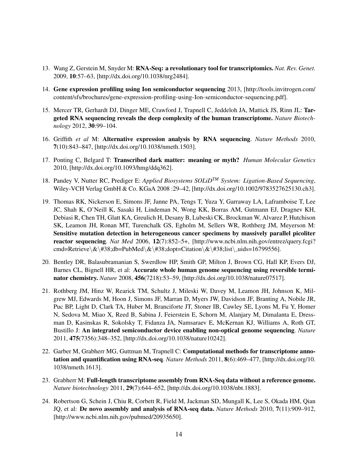- 13. Wang Z, Gerstein M, Snyder M: RNA-Seq: a revolutionary tool for transcriptomics. *Nat. Rev. Genet.* 2009, 10:57–63, [http://dx.doi.org/10.1038/nrg2484].
- 14. Gene expression profiling using Ion semiconductor sequencing 2013, [http://tools.invitrogen.com/ content/sfs/brochures/gene-expression-profiling-using-Ion-semiconductor-sequencing.pdf].
- 15. Mercer TR, Gerhardt DJ, Dinger ME, Crawford J, Trapnell C, Jeddeloh JA, Mattick JS, Rinn JL: Targeted RNA sequencing reveals the deep complexity of the human transcriptome. *Nature Biotechnology* 2012, 30:99–104.
- 16. Griffith *et al* M: Alternative expression analysis by RNA sequencing. *Nature Methods* 2010, 7(10):843–847, [http://dx.doi.org/10.1038/nmeth.1503].
- 17. Ponting C, Belgard T: Transcribed dark matter: meaning or myth? *Human Molecular Genetics* 2010, [http://dx.doi.org/10.1093/hmg/ddq362].
- 18. Pandey V, Nutter RC, Prediger E: *Applied Biosystems SOLiDTM System: Ligation-Based Sequencing*, Wiley-VCH Verlag GmbH & Co. KGaA 2008 :29–42, [http://dx.doi.org/10.1002/9783527625130.ch3].
- 19. Thomas RK, Nickerson E, Simons JF, Janne PA, Tengs T, Yuza Y, Garraway LA, Laframboise T, Lee JC, Shah K, O'Neill K, Sasaki H, Lindeman N, Wong KK, Borras AM, Gutmann EJ, Dragnev KH, Debiasi R, Chen TH, Glatt KA, Greulich H, Desany B, Lubeski CK, Brockman W, Alvarez P, Hutchison SK, Leamon JH, Ronan MT, Turenchalk GS, Egholm M, Sellers WR, Rothberg JM, Meyerson M: Sensitive mutation detection in heterogeneous cancer specimens by massively parallel picoliter reactor sequencing. *Nat Med* 2006, 12(7):852–5+, [http://www.ncbi.nlm.nih.gov/entrez/query.fcgi? cmd=Retrieve\&\#38;db=PubMed\&\#38;dopt=Citation\&\#38;list\\_uids=16799556].
- 20. Bentley DR, Balasubramanian S, Swerdlow HP, Smith GP, Milton J, Brown CG, Hall KP, Evers DJ, Barnes CL, Bignell HR, et al: Accurate whole human genome sequencing using reversible terminator chemistry. *Nature* 2008, 456(7218):53–59, [http://dx.doi.org/10.1038/nature07517].
- 21. Rothberg JM, Hinz W, Rearick TM, Schultz J, Mileski W, Davey M, Leamon JH, Johnson K, Milgrew MJ, Edwards M, Hoon J, Simons JF, Marran D, Myers JW, Davidson JF, Branting A, Nobile JR, Puc BP, Light D, Clark TA, Huber M, Branciforte JT, Stoner IB, Cawley SE, Lyons M, Fu Y, Homer N, Sedova M, Miao X, Reed B, Sabina J, Feierstein E, Schorn M, Alanjary M, Dimalanta E, Dressman D, Kasinskas R, Sokolsky T, Fidanza JA, Namsaraev E, McKernan KJ, Williams A, Roth GT, Bustillo J: An integrated semiconductor device enabling non-optical genome sequencing. *Nature* 2011, 475(7356):348–352, [http://dx.doi.org/10.1038/nature10242].
- 22. Garber M, Grabherr MG, Guttman M, Trapnell C: Computational methods for transcriptome annotation and quantification using RNA-seq. *Nature Methods* 2011, 8(6):469–477, [http://dx.doi.org/10. 1038/nmeth.1613].
- 23. Grabherr M: Full-length transcriptome assembly from RNA-Seq data without a reference genome. *Nature biotechnology* 2011, 29(7):644–652, [http://dx.doi.org/10.1038/nbt.1883].
- 24. Robertson G, Schein J, Chiu R, Corbett R, Field M, Jackman SD, Mungall K, Lee S, Okada HM, Qian JQ, et al: De novo assembly and analysis of RNA-seq data. *Nature Methods* 2010, 7(11):909–912, [http://www.ncbi.nlm.nih.gov/pubmed/20935650].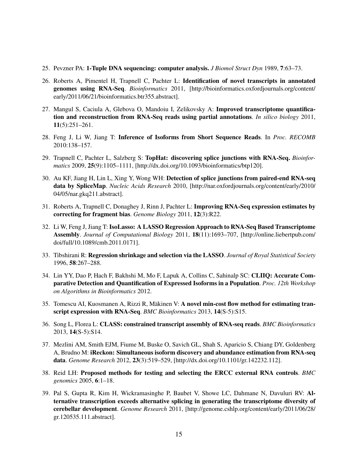- 25. Pevzner PA: 1-Tuple DNA sequencing: computer analysis. *J Biomol Struct Dyn* 1989, 7:63–73.
- 26. Roberts A, Pimentel H, Trapnell C, Pachter L: Identification of novel transcripts in annotated genomes using RNA-Seq. *Bioinformatics* 2011, [http://bioinformatics.oxfordjournals.org/content/ early/2011/06/21/bioinformatics.btr355.abstract].
- 27. Mangul S, Caciula A, Glebova O, Mandoiu I, Zelikovsky A: Improved transcriptome quantification and reconstruction from RNA-Seq reads using partial annotations. *In silico biology* 2011, 11(5):251–261.
- 28. Feng J, Li W, Jiang T: Inference of Isoforms from Short Sequence Reads. In *Proc. RECOMB* 2010:138–157.
- 29. Trapnell C, Pachter L, Salzberg S: TopHat: discovering splice junctions with RNA-Seq. *Bioinformatics* 2009, 25(9):1105–1111, [http://dx.doi.org/10.1093/bioinformatics/btp120].
- 30. Au KF, Jiang H, Lin L, Xing Y, Wong WH: Detection of splice junctions from paired-end RNA-seq data by SpliceMap. *Nucleic Acids Research* 2010, [http://nar.oxfordjournals.org/content/early/2010/ 04/05/nar.gkq211.abstract].
- 31. Roberts A, Trapnell C, Donaghey J, Rinn J, Pachter L: Improving RNA-Seq expression estimates by correcting for fragment bias. *Genome Biology* 2011, 12(3):R22.
- 32. Li W, Feng J, Jiang T: IsoLasso: A LASSO Regression Approach to RNA-Seq Based Transcriptome Assembly. *Journal of Computational Biology* 2011, 18(11):1693–707, [http://online.liebertpub.com/ doi/full/10.1089/cmb.2011.0171].
- 33. Tibshirani R: Regression shrinkage and selection via the LASSO. *Journal of Royal Statistical Society* 1996, 58:267–288.
- 34. Lin YY, Dao P, Hach F, Bakhshi M, Mo F, Lapuk A, Collins C, Sahinalp SC: CLIIQ: Accurate Comparative Detection and Quantification of Expressed Isoforms in a Population. *Proc. 12th Workshop on Algorithms in Bioinformatics* 2012.
- 35. Tomescu AI, Kuosmanen A, Rizzi R, Mäkinen V: A novel min-cost flow method for estimating transcript expression with RNA-Seq. *BMC Bioinformatics* 2013, 14(S-5):S15.
- 36. Song L, Florea L: CLASS: constrained transcript assembly of RNA-seq reads. *BMC Bioinformatics* 2013, 14(S-5):S14.
- 37. Mezlini AM, Smith EJM, Fiume M, Buske O, Savich GL, Shah S, Aparicio S, Chiang DY, Goldenberg A, Brudno M: iReckon: Simultaneous isoform discovery and abundance estimation from RNA-seq data. *Genome Research* 2012, 23(3):519–529, [http://dx.doi.org/10.1101/gr.142232.112].
- 38. Reid LH: Proposed methods for testing and selecting the ERCC external RNA controls. *BMC genomics* 2005, 6:1–18.
- 39. Pal S, Gupta R, Kim H, Wickramasinghe P, Baubet V, Showe LC, Dahmane N, Davuluri RV: Alternative transcription exceeds alternative splicing in generating the transcriptome diversity of cerebellar development. *Genome Research* 2011, [http://genome.cshlp.org/content/early/2011/06/28/ gr.120535.111.abstract].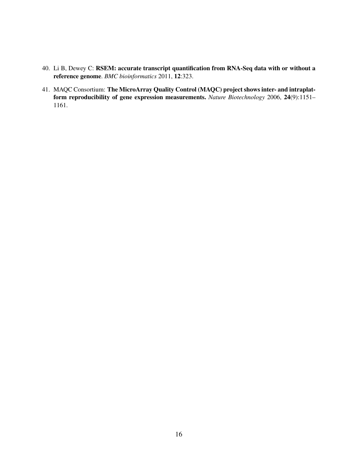- 40. Li B, Dewey C: RSEM: accurate transcript quantification from RNA-Seq data with or without a reference genome. *BMC bioinformatics* 2011, 12:323.
- 41. MAQC Consortium: The MicroArray Quality Control (MAQC) project shows inter- and intraplatform reproducibility of gene expression measurements. *Nature Biotechnology* 2006, 24(9):1151– 1161.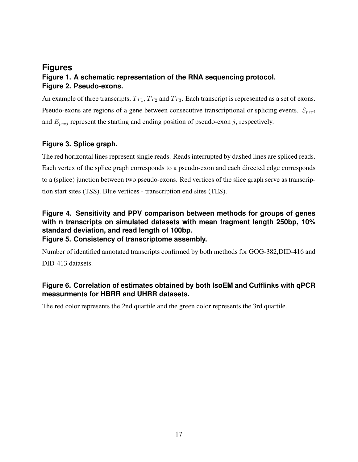# **Figures**

# **Figure 1. A schematic representation of the RNA sequencing protocol. Figure 2. Pseudo-exons.**

An example of three transcripts,  $Tr_1$ ,  $Tr_2$  and  $Tr_3$ . Each transcript is represented as a set of exons. Pseudo-exons are regions of a gene between consecutive transcriptional or splicing events.  $S_{psej}$ and  $E_{psej}$  represent the starting and ending position of pseudo-exon j, respectively.

## **Figure 3. Splice graph.**

The red horizontal lines represent single reads. Reads interrupted by dashed lines are spliced reads. Each vertex of the splice graph corresponds to a pseudo-exon and each directed edge corresponds to a (splice) junction between two pseudo-exons. Red vertices of the slice graph serve as transcription start sites (TSS). Blue vertices - transcription end sites (TES).

## **Figure 4. Sensitivity and PPV comparison between methods for groups of genes with n transcripts on simulated datasets with mean fragment length 250bp, 10% standard deviation, and read length of 100bp. Figure 5. Consistency of transcriptome assembly.**

Number of identified annotated transcripts confirmed by both methods for GOG-382,DID-416 and DID-413 datasets.

## **Figure 6. Correlation of estimates obtained by both IsoEM and Cufflinks with qPCR measurments for HBRR and UHRR datasets.**

The red color represents the 2nd quartile and the green color represents the 3rd quartile.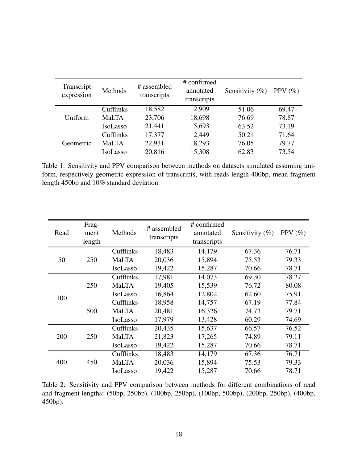| Transcript<br>expression | Methods          | # assembled<br>transcripts | # confirmed<br>annotated<br>transcripts | Sensitivity $(\%)$ | PPV $(\% )$ |
|--------------------------|------------------|----------------------------|-----------------------------------------|--------------------|-------------|
|                          | <b>Cufflinks</b> | 18,582                     | 12,909                                  | 51.06              | 69.47       |
| Uniform                  | <b>MaLTA</b>     | 23,706                     | 18,698                                  | 76.69              | 78.87       |
|                          | <b>IsoLasso</b>  | 21,441                     | 15,693                                  | 63.52              | 73.19       |
|                          | <b>Cufflinks</b> | 17,377                     | 12,449                                  | 50.21              | 71.64       |
| Geometric                | MaLTA            | 22,931                     | 18,293                                  | 76.05              | 79.77       |
|                          | <b>IsoLasso</b>  | 20,816                     | 15,308                                  | 62.83              | 73.54       |

Table 1: Sensitivity and PPV comparison between methods on datasets simulated assuming uniform, respectively geometric expression of transcripts, with reads length 400bp, mean fragment length 450bp and 10% standard deviation.

| Read | Frag-<br>ment<br>length | Methods         | # assembled<br>transcripts | # confirmed<br>annotated<br>transcripts | Sensitivity $(\%)$ | PPV $(\% )$ |
|------|-------------------------|-----------------|----------------------------|-----------------------------------------|--------------------|-------------|
|      |                         | Cufflinks       | 18,483                     | 14,179                                  | 67.36              | 76.71       |
| 50   | 250                     | <b>MaLTA</b>    | 20,036                     | 15,894                                  | 75.53              | 79.33       |
|      |                         | <b>IsoLasso</b> | 19,422                     | 15,287                                  | 70.66              | 78.71       |
|      |                         | Cufflinks       | 17,981                     | 14,073                                  | 69.30              | 78.27       |
| 100  | 250                     | <b>MaLTA</b>    | 19,405                     | 15,539                                  | 76.72              | 80.08       |
|      |                         | <b>IsoLasso</b> | 16,864                     | 12,802                                  | 62.60              | 75.91       |
|      |                         | Cufflinks       | 18,958                     | 14,757                                  | 67.19              | 77.84       |
|      | 500                     | <b>MaLTA</b>    | 20,481                     | 16,326                                  | 74.73              | 79.71       |
|      |                         | <b>IsoLasso</b> | 17,979                     | 13,428                                  | 60.29              | 74.69       |
|      |                         | Cufflinks       | 20,435                     | 15,637                                  | 66.57              | 76.52       |
| 200  | 250                     | <b>MaLTA</b>    | 21,823                     | 17,265                                  | 74.89              | 79.11       |
|      |                         | <b>IsoLasso</b> | 19,422                     | 15,287                                  | 70.66              | 78.71       |
| 400  |                         | Cufflinks       | 18,483                     | 14,179                                  | 67.36              | 76.71       |
|      | 450                     | <b>MaLTA</b>    | 20,036                     | 15,894                                  | 75.53              | 79.33       |
|      |                         | <b>IsoLasso</b> | 19,422                     | 15,287                                  | 70.66              | 78.71       |

Table 2: Sensitivity and PPV comparison between methods for different combinations of read and fragment lengths: (50bp, 250bp), (100bp, 250bp), (100bp, 500bp), (200bp, 250bp), (400bp, 450bp).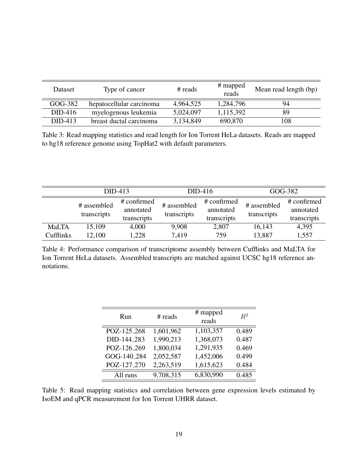| Dataset | Type of cancer           | # reads   | # mapped<br>reads | Mean read length (bp) |
|---------|--------------------------|-----------|-------------------|-----------------------|
| GOG-382 | hepatocellular carcinoma | 4,964,525 | 1,284,796         | 94                    |
| DID-416 | myelogenous leukemia     | 5,024,097 | 1,115,392         | 89                    |
| DID-413 | breast ductal carcinoma  | 3,134,849 | 690,870           | 108                   |

Table 3: Read mapping statistics and read length for Ion Torrent HeLa datasets. Reads are mapped to hg18 reference genome using TopHat2 with default parameters.

|              | DID-413                    |                                         | DID-416                    |                                         | GOG-382                    |                                         |
|--------------|----------------------------|-----------------------------------------|----------------------------|-----------------------------------------|----------------------------|-----------------------------------------|
|              | # assembled<br>transcripts | # confirmed<br>annotated<br>transcripts | # assembled<br>transcripts | # confirmed<br>annotated<br>transcripts | # assembled<br>transcripts | # confirmed<br>annotated<br>transcripts |
| <b>MaLTA</b> | 15,109                     | 4,000                                   | 9,908                      | 2,807                                   | 16,143                     | 4,395                                   |
| Cufflinks    | 12,100                     | 1,228                                   | 7,419                      | 759                                     | 13,887                     | 1,557                                   |

Table 4: Performance comparison of transcriptome assembly between Cufflinks and MaLTA for Ion Torrent HeLa datasets. Assembled transcripts are matched against UCSC hg18 reference annotations.

| Run                     | # reads   | # mapped<br>reads | $R^2$ |
|-------------------------|-----------|-------------------|-------|
| POZ-125 <sub>-268</sub> | 1,601,962 | 1,103,357         | 0.489 |
| DID-144 <sub>-283</sub> | 1,990,213 | 1,368,073         | 0.487 |
| POZ-126 <sub>-269</sub> | 1,800,034 | 1,291,935         | 0.469 |
| GOG-140 <sub>-284</sub> | 2,052,587 | 1,452,006         | 0.499 |
| POZ-127 <sub>-270</sub> | 2,263,519 | 1,615,623         | 0.484 |
| All runs                | 9,708,315 | 6,830,990         | 0.485 |

Table 5: Read mapping statistics and correlation between gene expression levels estimated by IsoEM and qPCR measurement for Ion Torrent UHRR dataset.